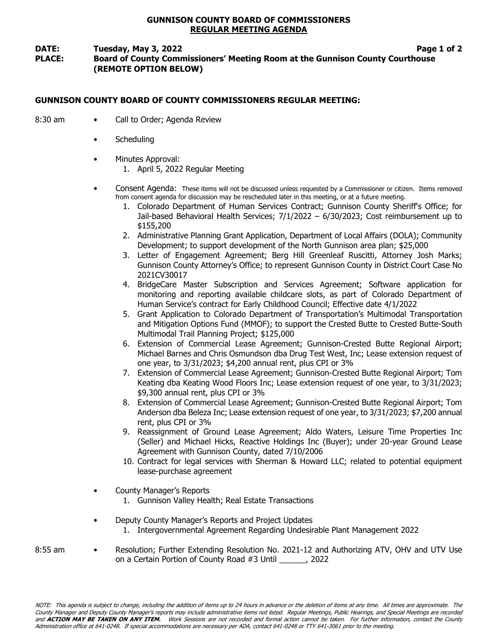## GUNNISON COUNTY BOARD OF COMMISSIONERS REGULAR MEETING AGENDA

### DATE: Tuesday, May 3, 2022 **Page 1 of 2** Page 1 of 2 PLACE: Board of County Commissioners' Meeting Room at the Gunnison County Courthouse (REMOTE OPTION BELOW)

# GUNNISON COUNTY BOARD OF COUNTY COMMISSIONERS REGULAR MEETING:

- 8:30 am Call to Order; Agenda Review
	- **Scheduling**
	- Minutes Approval:
		- 1. April 5, 2022 Regular Meeting
	- Consent Agenda: These items will not be discussed unless requested by a Commissioner or citizen. Items removed from consent agenda for discussion may be rescheduled later in this meeting, or at a future meeting.
		- 1. Colorado Department of Human Services Contract; Gunnison County Sheriff's Office; for Jail-based Behavioral Health Services; 7/1/2022 – 6/30/2023; Cost reimbursement up to \$155,200
		- 2. Administrative Planning Grant Application, Department of Local Affairs (DOLA); Community Development; to support development of the North Gunnison area plan; \$25,000
		- 3. Letter of Engagement Agreement; Berg Hill Greenleaf Ruscitti, Attorney Josh Marks; Gunnison County Attorney's Office; to represent Gunnison County in District Court Case No 2021CV30017
		- 4. BridgeCare Master Subscription and Services Agreement; Software application for monitoring and reporting available childcare slots, as part of Colorado Department of Human Service's contract for Early Childhood Council; Effective date 4/1/2022
		- 5. Grant Application to Colorado Department of Transportation's Multimodal Transportation and Mitigation Options Fund (MMOF); to support the Crested Butte to Crested Butte-South Multimodal Trail Planning Project; \$125,000
		- 6. Extension of Commercial Lease Agreement; Gunnison-Crested Butte Regional Airport; Michael Barnes and Chris Osmundson dba Drug Test West, Inc; Lease extension request of one year, to 3/31/2023; \$4,200 annual rent, plus CPI or 3%
		- 7. Extension of Commercial Lease Agreement; Gunnison-Crested Butte Regional Airport; Tom Keating dba Keating Wood Floors Inc; Lease extension request of one year, to 3/31/2023; \$9,300 annual rent, plus CPI or 3%
		- 8. Extension of Commercial Lease Agreement; Gunnison-Crested Butte Regional Airport; Tom Anderson dba Beleza Inc; Lease extension request of one year, to 3/31/2023; \$7,200 annual rent, plus CPI or 3%
		- 9. Reassignment of Ground Lease Agreement; Aldo Waters, Leisure Time Properties Inc (Seller) and Michael Hicks, Reactive Holdings Inc (Buyer); under 20-year Ground Lease Agreement with Gunnison County, dated 7/10/2006
		- 10. Contract for legal services with Sherman & Howard LLC; related to potential equipment lease-purchase agreement
	- County Manager's Reports
		- 1. Gunnison Valley Health; Real Estate Transactions
	- Deputy County Manager's Reports and Project Updates
		- 1. Intergovernmental Agreement Regarding Undesirable Plant Management 2022
- 8:55 am Resolution; Further Extending Resolution No. 2021-12 and Authorizing ATV, OHV and UTV Use on a Certain Portion of County Road #3 Until \_\_\_\_\_\_, 2022